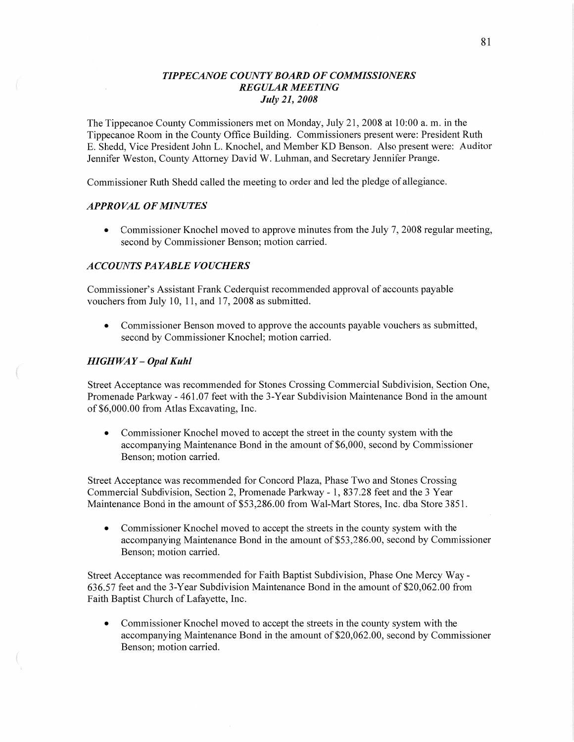# *T IPPECANOE COUNT Y BOARD* OF *COMMISSIONERS REGULAR MEETING July* 21, *2008*

The Tippecanoe County Commissioners met on Monday, July 21, 2008 at 10:00 a. m. in the Tippecanoe Room in the County Office Building. Commissioners present were: President Ruth B. Shedd, Vice President John L. Knochel, and Member KD Benson. Also present were: Auditor Jennifer Weston, County Attorney David W. Luhman, and Secretary Jennifer Prange.

Commissioner Ruth Shedd called the meeting to order and led the pledge of allegiance.

### *APPROVAL* OF *MINUTES*

**0** Commissioner Knochel moved to approve minutes from the July 7, 2008 regular meeting, second by Commissioner Benson; motion carried.

### *ACCOUNTS* PA *YABLE VOUCHERS*

Commissioner's Assistant Frank Cederquist recommended approval of accounts payable vouchers from July 10, 11, and 17, 2008 as submitted.

**0** Commissioner Benson moved to approve the accounts payable vouchers as submitted, second by Commissioner Knochel; motion carried.

### *HIGHWAY* — *Opal Kuhl*

 $\epsilon$ 

Street Acceptance was recommended for Stones Crossing Commercial Subdivision, Section One, Promenade Parkway **-** 461.07 feet with the 3-Year Subdivision Maintenance Bond in the amount of \$6,000.00 from Atlas Excavating, Inc.

**0** Commissioner Knochel moved to accept the street in the county system with the accompanying Maintenance Bond in the amount of \$6,000, second by Commissioner Benson; motion carried.

Street Acceptance was recommended for Concord Plaza, Phase Two and Stones Crossing Commercial Subdivision, Section 2, Promenade Parkway *-* 1, 837.28 feet and the 3 Year Maintenance Bond in the amount of \$53,286.00 from Wal—Mart Stores, Inc. dba Store 3851.

**0** Commissioner Knochel moved to accept the streets in the county system with the accompanying Maintenance Bond in the amount of \$53,286.00, second by Commissioner Benson; motion carried.

Street Acceptance was recommended for Faith Baptist Subdivision, Phase One Mercy Way *-* 636.57 feet and the 3-Year Subdivision Maintenance Bond in the amount of \$20,062.00 from Faith Baptist Church of Lafayette, Inc.

**0** Commissioner Knochel moved to accept the streets in the county system with the accompanying Maintenance Bond in the amount of \$20,062.00, second by Commissioner Benson; motion carried.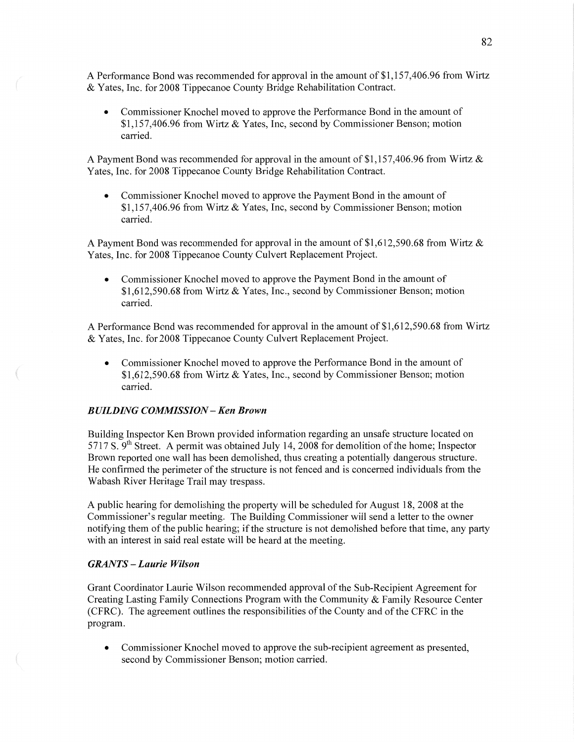**A** Performance Bond was recommended for approval in the amount of \$1,157,406.96 from Wirtz & Yates, Inc. for 2008 Tippecanoe County Bridge Rehabilitation Contract.

**0** Commissioner Knochel moved to approve the Performance Bond in the amount of \$1,157,406.96 from Wirtz & Yates, **Inc,** second by Commissioner Benson; motion carried.

**<sup>A</sup>**Payment Bond was recommended for approval in the amount of \$1,157,406.96 from Wirtz & Yates, Inc. for 2008 Tippecanoe County Bridge Rehabilitation Contract.

**0** Commissioner Knochel moved to approve the Payment Bond in the amount of \$1,157,406.96 from Wirtz & Yates, Inc, second by Commissioner Benson; motion carried.

**<sup>A</sup>**Payment Bond was recommended for approval in the amount of \$1,612,590.68 from Wirtz & Yates, Inc. for 2008 Tippecanoe County Culvert Replacement Project.

**0** Commissioner Knochel moved to approve the Payment Bond in the amount of \$1,612,590.68 from Wirtz & Yates, Inc., second by Commissioner Benson; motion carried.

**A** Performance Bond was recommended for approval in the amount of \$1,612,590.68 from Wirtz & Yates, Inc. for 2008 Tippecanoe County Culvert Replacement Project.

**0** Commissioner Knochel moved to approve the Performance Bond in the amount of \$1,612,590.68 from Wirtz & Yates, Inc., second by Commissioner Benson; motion carried.

### **BUILDING COMMISSION - Ken Brown**

Building Inspector Ken Brown provided information regarding an unsafe structure located on 5 717 S. 9th Street. **A** permit was obtained July 14, 2008 for demolition of the home; Inspector Brown reported one wall has been demolished, thus creating a potentially dangerous structure. He confirmed the perimeter of the structure is not fenced and is concerned individuals from the Wabash River Heritage Trail may trespass.

**A** public hearing for demolishing the property will be scheduled for August 18, 2008 at the Commissioner's regular meeting. The Building Commissioner will send a letter to the owner notifying them of the public hearing; if the structure is not demolished before that time, any party with an interest in said real estate will be heard at the meeting.

#### *GRANTS* **—** *Laurie Wilson*

 $\left($ 

I, ,M-m

Grant Coordinator Laurie Wilson recommended approval of the Sub-Recipient Agreement for Creating Lasting Family Connections Program with the Community & Family Resource Center (CFRC). The agreement outlines the responsibilities of the County and of the CFRC in the program.

**0** Commissioner Knochel moved to approve the sub-recipient agreement as presented, second by Commissioner Benson; motion carried.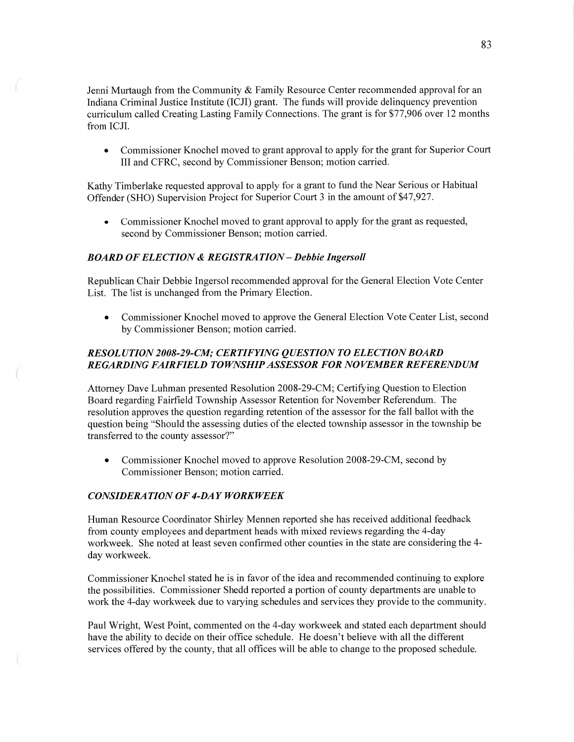Jenni Murtaugh from the Community & Family Resource Center recommended approval for an Indiana Criminal Justice Institute (ICJI) grant. The funds will provide delinquency prevention curriculum called Creating Lasting Family Connections. The grant is for \$77,906 over 12 months from **ICJI.** 

**0** Commissioner Knochel moved to grant approval to apply for the grant for Superior Court III and CFRC, second by Commissioner Benson; motion carried.

Kathy Timberlake requested approval to apply for a grant to fund the Near Serious or Habitual Offender (SHO) Supervision Project for Superior Court 3 in the amount of \$47,927.

**0** Commissioner Knochel moved to grant approval to apply for the grant as requested, second by Commissioner Benson; motion carried.

### *BOARD* OF *ELECTION &* RE *GIST* RA *T* ION *—Debbie Ingersoll*

Republican Chair Debbie Ingersol recommended approval for the General Election Vote Center List. The list is unchanged from the Primary Election.

• Commissioner Knochel moved to approve the General Election Vote Center List, second by Commissioner Benson; motion carried.

# *RESOL* UT ION *2008-29-C1M; CERT* IF *YING QUESTION T 0 ELECTION BOARD REGARDING FAIRFIELD TOWNSHIP ASSESSOR* FOR NO *VEMBER REFEREND* UM

Attorney Dave Luhman presented Resolution 2008-29-CM; Certifying Question to Election Board regarding Fairfield Township Assessor Retention for November Referendum. The resolution approves the question regarding retention of the assessor for the fall ballot with the question being "Should the assessing duties of the elected township assessor in the township be transferred to the county assessor?"

• Commissioner Knochel moved to approve Resolution 2008-29-CM, second by Commissioner Benson; motion carried.

# *CONSIDERATION* OF *4-DAY WORKWEEK*

Human Resource Coordinator Shirley Mennen reported she has received additional feedback from county employees and department heads with mixed reviews regarding the 4—day workweek. She noted at least seven confirmed other counties in the state are considering the 4 day workweek.

Commissioner Knochel stated he is in favor of the idea and recommended continuing to explore the possibilities. Commissioner Shedd reported a portion of county departments are unable to work the 4-day workweek due to varying schedules and services they provide to the community.

Paul Wright, West Point, commented on the 4-day workweek and stated each department should have the ability to decide on their office schedule. He doesn't believe with all the different services offered by the county, that all offices will be able to change to the proposed schedule.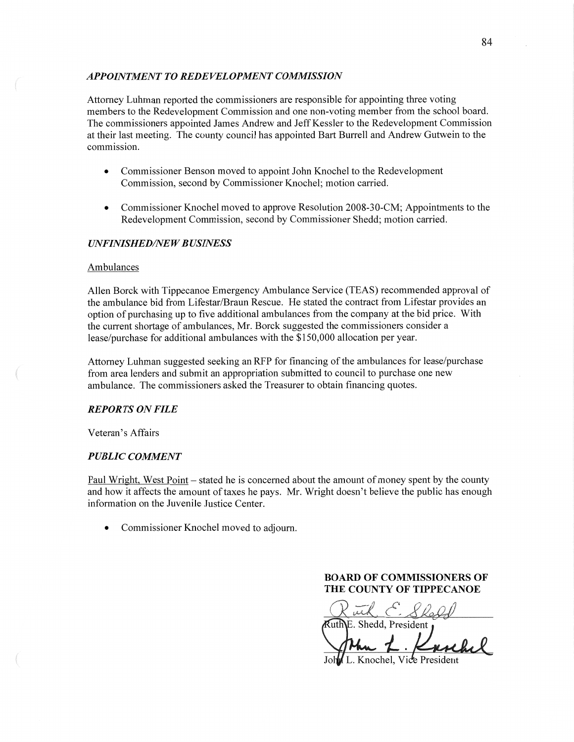### **APPOINTMENT TO REDEVELOPMENT COMMISSION**

Attorney Luhman reported the commissioners are responsible for appointing three voting members to the Redevelopment Commission and one non-voting member from the school board. The commissioners appointed James Andrew and Jeff Kessler to the Redevelopment Commission at their last meeting. The county council has appointed Bart Burrell and Andrew Gutwein to the commission.

- **0** Commissioner Benson moved to appoint John Knochel to the Redevelopment Commission, second by Commissioner Knochel; motion carried.
- **0** Commissioner Knochel moved to approve Resolution 2008-30-CM; Appointments to the Redevelopment Commission, second by Commissioner Shedd; motion carried.

### *UNFINISHED/NEW BUSINESS*

#### Ambulances

Allen Borck with Tippecanoe Emergency Ambulance Service (TEAS) recommended approval of the ambulance bid from Lifestar/Braun Rescue. He stated the contract from Lifestar provides an option of purchasing up to five additional ambulances from the company at the bid price. With the current shortage of ambulances, Mr. Borck suggested the commissioners consider a lease/purchase for additional ambulances with the \$150,000 allocation per year.

Attorney Luhman suggested seeking an RFP for financing of the ambulances for lease/purchase from area lenders and submit an appropriation submitted to council to purchase one new ambulance. The commissioners asked the Treasurer to obtain financing quotes.

### *REPORTS* ON *FILE*

Veteran's Affairs

#### *PUBLIC COMMENT*

Paul Wright, West Point – stated he is concerned about the amount of money spent by the county and how it affects the amount of taxes he pays. Mr. Wright doesn't believe the public has enough information on the Juvenile Justice Center.

**0** Commissioner Knochel moved to adjourn.

**BOARD OF COMMISSIONERS OF THE COUNTY OF TIPPECANOE** 

Ruch C. Sheld *KuthE.* Shedd, President *j 1* **.** 

L. Knochel, Vice Pres